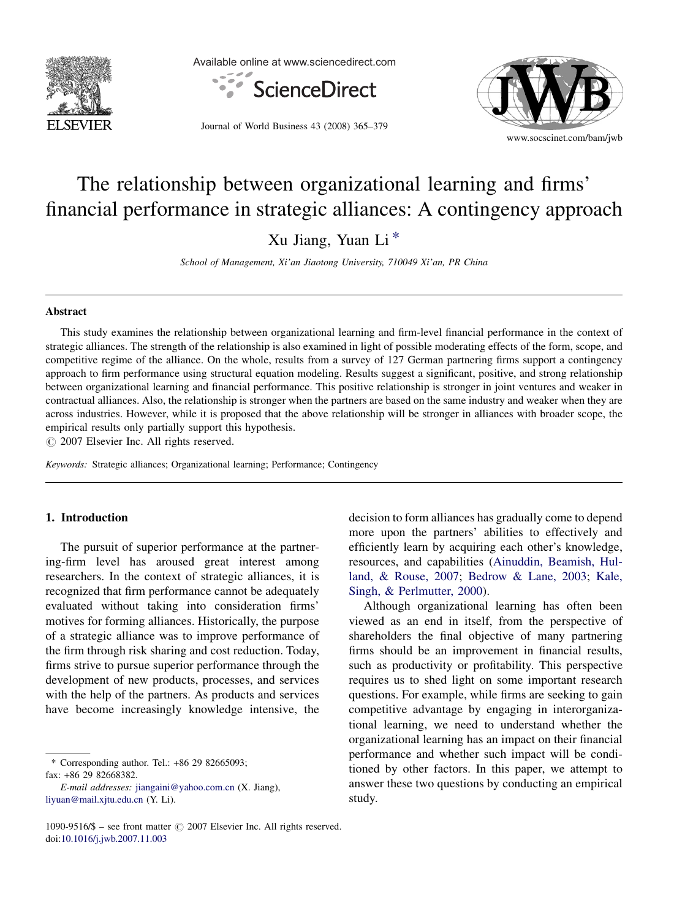

Available online at www.sciencedirect.com



Journal of World Business 43 (2008) 365–379



www.socscinet.com/bam/jwb

# The relationship between organizational learning and firms' financial performance in strategic alliances: A contingency approach

Xu Jiang, Yuan Li \*

School of Management, Xi'an Jiaotong University, 710049 Xi'an, PR China

#### Abstract

This study examines the relationship between organizational learning and firm-level financial performance in the context of strategic alliances. The strength of the relationship is also examined in light of possible moderating effects of the form, scope, and competitive regime of the alliance. On the whole, results from a survey of 127 German partnering firms support a contingency approach to firm performance using structural equation modeling. Results suggest a significant, positive, and strong relationship between organizational learning and financial performance. This positive relationship is stronger in joint ventures and weaker in contractual alliances. Also, the relationship is stronger when the partners are based on the same industry and weaker when they are across industries. However, while it is proposed that the above relationship will be stronger in alliances with broader scope, the empirical results only partially support this hypothesis.

 $\odot$  2007 Elsevier Inc. All rights reserved.

Keywords: Strategic alliances; Organizational learning; Performance; Contingency

### 1. Introduction

The pursuit of superior performance at the partnering-firm level has aroused great interest among researchers. In the context of strategic alliances, it is recognized that firm performance cannot be adequately evaluated without taking into consideration firms' motives for forming alliances. Historically, the purpose of a strategic alliance was to improve performance of the firm through risk sharing and cost reduction. Today, firms strive to pursue superior performance through the development of new products, processes, and services with the help of the partners. As products and services have become increasingly knowledge intensive, the

\* Corresponding author. Tel.: +86 29 82665093; fax: +86 29 82668382.

decision to form alliances has gradually come to depend more upon the partners' abilities to effectively and efficiently learn by acquiring each other's knowledge, resources, and capabilities [\(Ainuddin, Beamish, Hul](#page--1-0)[land, & Rouse, 2007;](#page--1-0) [Bedrow & Lane, 2003](#page--1-0); [Kale,](#page--1-0) [Singh, & Perlmutter, 2000\)](#page--1-0).

Although organizational learning has often been viewed as an end in itself, from the perspective of shareholders the final objective of many partnering firms should be an improvement in financial results, such as productivity or profitability. This perspective requires us to shed light on some important research questions. For example, while firms are seeking to gain competitive advantage by engaging in interorganizational learning, we need to understand whether the organizational learning has an impact on their financial performance and whether such impact will be conditioned by other factors. In this paper, we attempt to answer these two questions by conducting an empirical study.

E-mail addresses: [jiangaini@yahoo.com.cn](mailto:jiangaini@yahoo.com.cn) (X. Jiang), [liyuan@mail.xjtu.edu.cn](mailto:liyuan@mail.xjtu.edu.cn) (Y. Li).

<sup>1090-9516/\$ –</sup> see front matter  $\odot$  2007 Elsevier Inc. All rights reserved. doi[:10.1016/j.jwb.2007.11.003](http://dx.doi.org/10.1016/j.jwb.2007.11.003)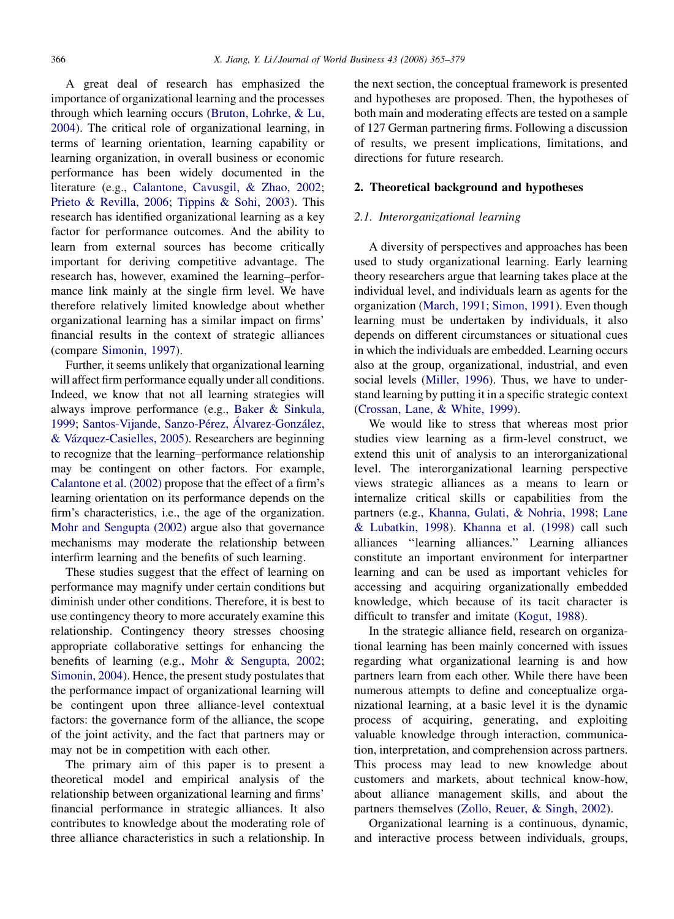A great deal of research has emphasized the importance of organizational learning and the processes through which learning occurs ([Bruton, Lohrke, & Lu,](#page--1-0) [2004](#page--1-0)). The critical role of organizational learning, in terms of learning orientation, learning capability or learning organization, in overall business or economic performance has been widely documented in the literature (e.g., [Calantone, Cavusgil, & Zhao, 2002](#page--1-0); [Prieto & Revilla, 2006](#page--1-0); [Tippins & Sohi, 2003\)](#page--1-0). This research has identified organizational learning as a key factor for performance outcomes. And the ability to learn from external sources has become critically important for deriving competitive advantage. The research has, however, examined the learning–performance link mainly at the single firm level. We have therefore relatively limited knowledge about whether organizational learning has a similar impact on firms' financial results in the context of strategic alliances (compare [Simonin, 1997\)](#page--1-0).

Further, it seems unlikely that organizational learning will affect firm performance equally under all conditions. Indeed, we know that not all learning strategies will always improve performance (e.g., [Baker & Sinkula,](#page--1-0) [1999;](#page--1-0) Santos-Vijande, Sanzo-Pérez, Álvarez-González, [& Va´zquez-Casielles, 2005](#page--1-0)). Researchers are beginning to recognize that the learning–performance relationship may be contingent on other factors. For example, [Calantone et al. \(2002\)](#page--1-0) propose that the effect of a firm's learning orientation on its performance depends on the firm's characteristics, i.e., the age of the organization. [Mohr and Sengupta \(2002\)](#page--1-0) argue also that governance mechanisms may moderate the relationship between interfirm learning and the benefits of such learning.

These studies suggest that the effect of learning on performance may magnify under certain conditions but diminish under other conditions. Therefore, it is best to use contingency theory to more accurately examine this relationship. Contingency theory stresses choosing appropriate collaborative settings for enhancing the benefits of learning (e.g., [Mohr & Sengupta, 2002](#page--1-0); [Simonin, 2004](#page--1-0)). Hence, the present study postulates that the performance impact of organizational learning will be contingent upon three alliance-level contextual factors: the governance form of the alliance, the scope of the joint activity, and the fact that partners may or may not be in competition with each other.

The primary aim of this paper is to present a theoretical model and empirical analysis of the relationship between organizational learning and firms' financial performance in strategic alliances. It also contributes to knowledge about the moderating role of three alliance characteristics in such a relationship. In

the next section, the conceptual framework is presented and hypotheses are proposed. Then, the hypotheses of both main and moderating effects are tested on a sample of 127 German partnering firms. Following a discussion of results, we present implications, limitations, and directions for future research.

### 2. Theoretical background and hypotheses

### 2.1. Interorganizational learning

A diversity of perspectives and approaches has been used to study organizational learning. Early learning theory researchers argue that learning takes place at the individual level, and individuals learn as agents for the organization ([March, 1991; Simon, 1991\)](#page--1-0). Even though learning must be undertaken by individuals, it also depends on different circumstances or situational cues in which the individuals are embedded. Learning occurs also at the group, organizational, industrial, and even social levels ([Miller, 1996](#page--1-0)). Thus, we have to understand learning by putting it in a specific strategic context ([Crossan, Lane, & White, 1999\)](#page--1-0).

We would like to stress that whereas most prior studies view learning as a firm-level construct, we extend this unit of analysis to an interorganizational level. The interorganizational learning perspective views strategic alliances as a means to learn or internalize critical skills or capabilities from the partners (e.g., [Khanna, Gulati, & Nohria, 1998;](#page--1-0) [Lane](#page--1-0) [& Lubatkin, 1998\)](#page--1-0). [Khanna et al. \(1998\)](#page--1-0) call such alliances ''learning alliances.'' Learning alliances constitute an important environment for interpartner learning and can be used as important vehicles for accessing and acquiring organizationally embedded knowledge, which because of its tacit character is difficult to transfer and imitate ([Kogut, 1988](#page--1-0)).

In the strategic alliance field, research on organizational learning has been mainly concerned with issues regarding what organizational learning is and how partners learn from each other. While there have been numerous attempts to define and conceptualize organizational learning, at a basic level it is the dynamic process of acquiring, generating, and exploiting valuable knowledge through interaction, communication, interpretation, and comprehension across partners. This process may lead to new knowledge about customers and markets, about technical know-how, about alliance management skills, and about the partners themselves ([Zollo, Reuer, & Singh, 2002\)](#page--1-0).

Organizational learning is a continuous, dynamic, and interactive process between individuals, groups,